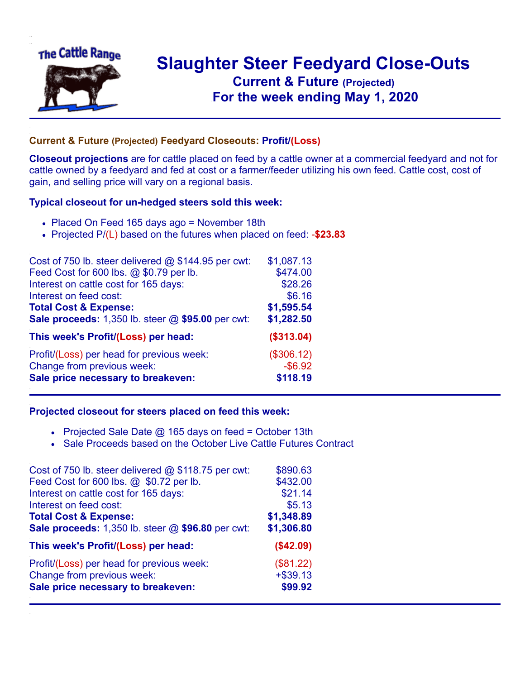

## **Slaughter Steer Feedyard Close-Outs Current & Future (Projected)** .**For the week ending May 1, 2020**

## **Current & Future (Projected) Feedyard Closeouts: Profit/(Loss)**

**Closeout projections** are for cattle placed on feed by a cattle owner at a commercial feedyard and not for cattle owned by a feedyard and fed at cost or a farmer/feeder utilizing his own feed. Cattle cost, cost of gain, and selling price will vary on a regional basis.

## **Typical closeout for un-hedged steers sold this week:**

- Placed On Feed 165 days ago = November 18th
- Projected P/(L) based on the futures when placed on feed: -**\$23.83**

| Cost of 750 lb. steer delivered @ \$144.95 per cwt: | \$1,087.13 |
|-----------------------------------------------------|------------|
| Feed Cost for 600 lbs. @ \$0.79 per lb.             | \$474.00   |
| Interest on cattle cost for 165 days:               | \$28.26    |
| Interest on feed cost:                              | \$6.16     |
| <b>Total Cost &amp; Expense:</b>                    | \$1,595.54 |
| Sale proceeds: 1,350 lb. steer @ \$95.00 per cwt:   | \$1,282.50 |
| This week's Profit/(Loss) per head:                 | (\$313.04) |
| Profit/(Loss) per head for previous week:           | (\$306.12) |
| Change from previous week:                          | $-$ \$6.92 |
| Sale price necessary to breakeven:                  | \$118.19   |

## **Projected closeout for steers placed on feed this week:**

- Projected Sale Date  $@$  165 days on feed = October 13th
- Sale Proceeds based on the October Live Cattle Futures Contract

| Cost of 750 lb. steer delivered @ \$118.75 per cwt: | \$890.63   |
|-----------------------------------------------------|------------|
| Feed Cost for 600 lbs. @ \$0.72 per lb.             | \$432.00   |
| Interest on cattle cost for 165 days:               | \$21.14    |
| Interest on feed cost:                              | \$5.13     |
| <b>Total Cost &amp; Expense:</b>                    | \$1,348.89 |
| Sale proceeds: 1,350 lb. steer @ \$96.80 per cwt:   | \$1,306.80 |
| This week's Profit/(Loss) per head:                 | (\$42.09)  |
| Profit/(Loss) per head for previous week:           | (\$81.22)  |
| Change from previous week:                          | $+ $39.13$ |
| Sale price necessary to breakeven:                  | \$99.92    |